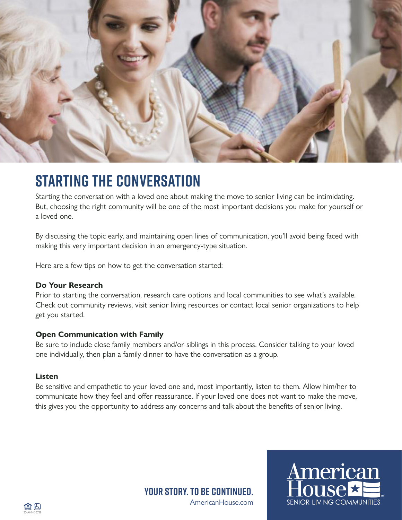

## **STARTING THE CONVERSATION**

Starting the conversation with a loved one about making the move to senior living can be intimidating. But, choosing the right community will be one of the most important decisions you make for yourself or a loved one.

By discussing the topic early, and maintaining open lines of communication, you'll avoid being faced with making this very important decision in an emergency-type situation.

Here are a few tips on how to get the conversation started:

### **Do Your Research**

Prior to starting the conversation, research care options and local communities to see what's available. Check out community reviews, visit senior living resources or contact local senior organizations to help get you started.

### **Open Communication with Family**

Be sure to include close family members and/or siblings in this process. Consider talking to your loved one individually, then plan a family dinner to have the conversation as a group.

### **Listen**

Be sensitive and empathetic to your loved one and, most importantly, listen to them. Allow him/her to communicate how they feel and offer reassurance. If your loved one does not want to make the move, this gives you the opportunity to address any concerns and talk about the benefits of senior living.

> AmericanHouse.com **Your story. To be continued.**

American

**SENIOR LIVING COMMUNITIES**